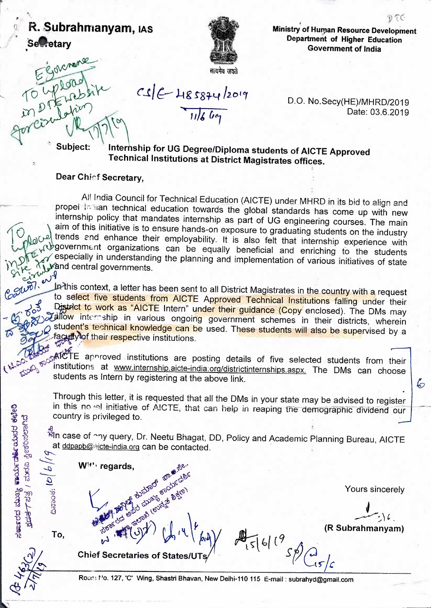## R. Subrahmanyam, IAS **Secretary**



Ministry of Human Resource Development Department of Higher Education **Government of India** 

DTG

Solemane Subject:

 $C1C$  485874/2019

 $11/6$   $6q$ 

D.O. No.Secy(HE)/MHRD/2019 Date: 03.6.2019

Internship for UG Degree/Diploma students of AICTE Approved **Technical Institutions at District Magistrates offices.** 

## Dear Chief Secretary,

W<sup>it'</sup> regards,

**Chief Secretaries of States/UTs** 

All India Council for Technical Education (AICTE) under MHRD in its bid to align and propel in han technical education towards the global standards has come up with new internship policy that mandates internship as part of UG engineering courses. The main aim of this initiative is to ensure hands-on exposure to graduating students on the industry dollar trends and enhance their employability. It is also felt that internship experience with who overnment organizations can be equally beneficial and enriching to the students respecially in understanding the planning and implementation of various initiatives of state wand central governments.  $ev^g$ 

In this context, a letter has been sent to all District Magistrates in the country with a request to select five students from AICTE Approved Technical Institutions falling under their District to work as "AICTE Intern" under their guidance (Copy enclosed). The DMs may adflow internship in various ongoing government schemes in their districts, wherein student's technical knowledge can be used. These students will also be supervised by a faculty of their respective institutions.

AICTE approved institutions are posting details of five selected students from their institutions at www.internship.aicte-india.org/districtinternships.aspx. The DMs can choose students as Intern by registering at the above link.

Through this letter, it is requested that all the DMs in your state may be advised to register in this no el initiative of AICTE, that can help in reaping the demographic dividend our country is privileged to.

ฟี๊ก case of ^ny query, Dr. Neetu Bhagat, DD, Policy and Academic Planning Bureau, AICTE at ddpapb@ajcte-india.org can be contacted. Part of a subscribed and stress

 $16119$ 

Yours sincerely

6

 $\mathbf{r} \setminus \mathbf{r}$ 

(R Subrahmanyam)

ದಿನಾಂಕ:

To,

EDDS FOC

ಸ**ಷಾ**ರದ ಮುಖ್ಯ **ಕಾರ್ಯರತ್ನೇ ಯ**ವರ ಕಛೇರಿ

<u>ಕಡರ್ಕ/ ಪುಸವಿ ಸ್ವೀಕರಿಸಲಾಗಿ</u>ದೆ

Roons No. 127, 'C' Wing, Shastri Bhavan, New Delhi-110 115 E-mail : subrahyd@gmail.com